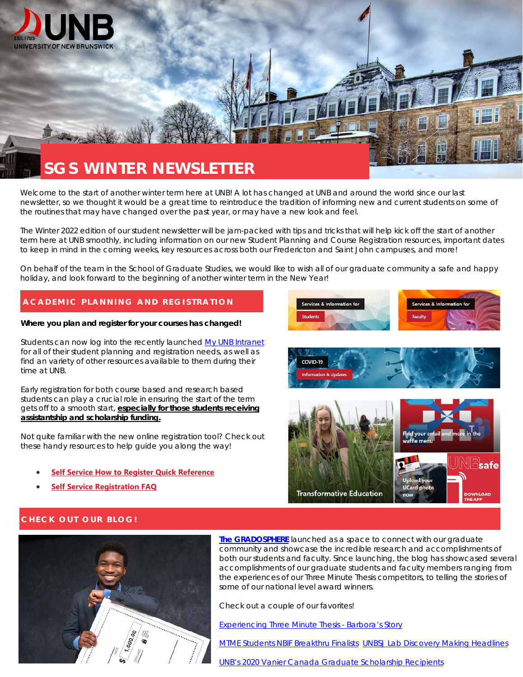

# Welcome to the start of another winter term here at UNB! A lot has changed at UNB and around the world since our last

newsletter, so we thought it would be a great time to reintroduce the tradition of informing new and current students on some of the routines that may have changed over the past year, or may have a new look and feel.

The Winter 2022 edition of our student newsletter will be jam-packed with tips and tricks that will help kick off the start of another term here at UNB smoothly, including information on our new Student Planning and Course Registration resources, important dates to keep in mind in the coming weeks, key resources across both our Fredericton and Saint John campuses, and more!

On behalf of the team in the School of Graduate Studies, we would like to wish all of our graduate community a safe and happy holiday, and look forward to the beginning of another winter term in the New Year!

# **ACADEMIC PLANNING AND REGISTRATION**

#### **Where you plan and register for your courses has changed!**

Students can now log into the recently launche[d My UNB Intranet](https://unbcloud.sharepoint.com/sites/MyUNB/SitePages/Services-for-Students.aspx) for all of their student planning and registration needs, as well as find an variety of other resources available to them during their time at UNB.

Early registration for both course based and research based students can play a crucial role in ensuring the start of the term gets off to a smooth start, **especially for those students receiving assistantship and scholarship funding.** 

Not quite familiar with the new online registration tool? Check out these handy resources to help guide you along the way!

- **[Self Service How to Register Quick Reference](https://unbcloud.sharepoint.com/:b:/r/sites/Registrar/Shared%20Documents/Self%20Service%20How%20to%20Register%20Quick%20Reference.pdf?csf=1&web=1&e=AIATIr)**
- **[Self Service Registration FAQ](https://unbcloud.sharepoint.com/:b:/r/sites/Registrar/Shared%20Documents/Self%20Service%20Registration%20FAQ.pdf?csf=1&web=1&e=eaxdwM)**







## **CHECK OUT OUR BLOG!**



**[The GRADOSPHERE](https://blogs.unb.ca/graduatestudies/)** launched as a space to connect with our graduate community and showcase the incredible research and accomplishments of both our students and faculty. Since launching, the blog has showcased several accomplishments of our graduate students and faculty members ranging from the experiences of our Three Minute Thesis competitors, to telling the stories of some of our national level award winners.

Check out a couple of our favorites!

[Experiencing Three Minute Thesis - Barbora's Story](https://blogs.unb.ca/graduatestudies/2019/05/experiencing-three-minute-thesis---barboras-story.php)

[MTME Students NBIF Breakthru Finalists](https://blogs.unb.ca/graduatestudies/2019/03/mtme-students-nbif-breakthru-finalists.php) [UNBSJ Lab Discovery Making Headlines](https://blogs.unb.ca/graduatestudies/2018/12/unbsj-lab-making-headlines.php)

[UNB's 2020 Vanier Canada Graduate Scholarship Recipients](https://blogs.unb.ca/graduatestudies/2020/06/unb-vanier-winners-2020.php)